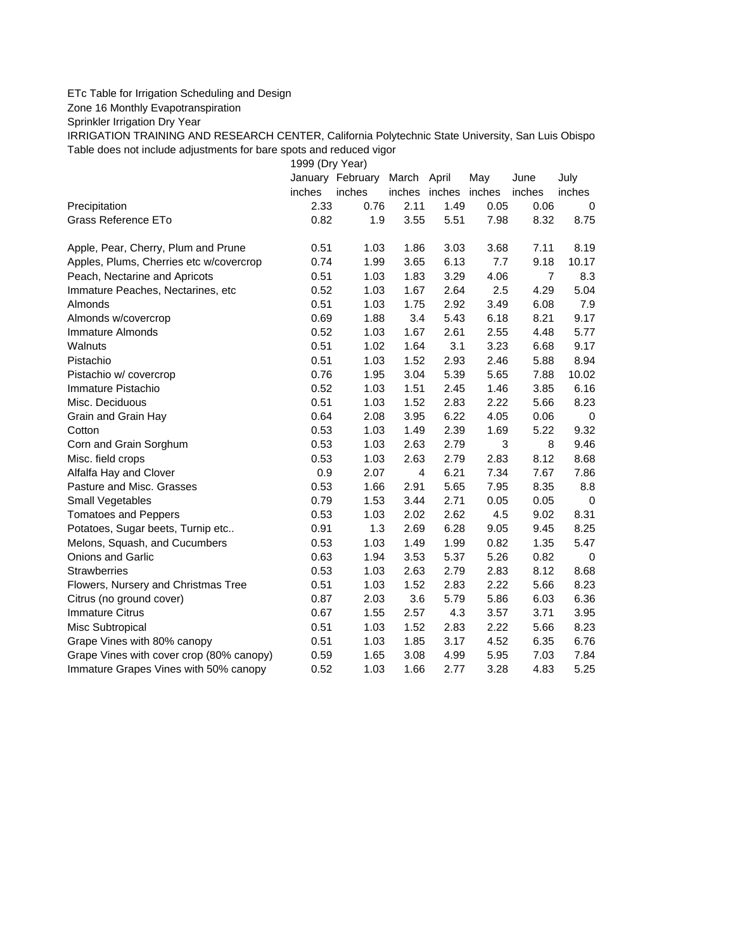## ETc Table for Irrigation Scheduling and Design

Zone 16 Monthly Evapotranspiration

Sprinkler Irrigation Dry Year

IRRIGATION TRAINING AND RESEARCH CENTER, California Polytechnic State University, San Luis Obispo Table does not include adjustments for bare spots and reduced vigor

1999 (Dry Year)

|                                          |        | January February | March April    |      | May    | June           | July        |
|------------------------------------------|--------|------------------|----------------|------|--------|----------------|-------------|
|                                          | inches | inches           | inches inches  |      | inches | inches         | inches      |
| Precipitation                            | 2.33   | 0.76             | 2.11           | 1.49 | 0.05   | 0.06           | 0           |
| Grass Reference ETo                      | 0.82   | 1.9              | 3.55           | 5.51 | 7.98   | 8.32           | 8.75        |
| Apple, Pear, Cherry, Plum and Prune      | 0.51   | 1.03             | 1.86           | 3.03 | 3.68   | 7.11           | 8.19        |
| Apples, Plums, Cherries etc w/covercrop  | 0.74   | 1.99             | 3.65           | 6.13 | 7.7    | 9.18           | 10.17       |
| Peach, Nectarine and Apricots            | 0.51   | 1.03             | 1.83           | 3.29 | 4.06   | $\overline{7}$ | 8.3         |
| Immature Peaches, Nectarines, etc        | 0.52   | 1.03             | 1.67           | 2.64 | 2.5    | 4.29           | 5.04        |
| Almonds                                  | 0.51   | 1.03             | 1.75           | 2.92 | 3.49   | 6.08           | 7.9         |
| Almonds w/covercrop                      | 0.69   | 1.88             | 3.4            | 5.43 | 6.18   | 8.21           | 9.17        |
| <b>Immature Almonds</b>                  | 0.52   | 1.03             | 1.67           | 2.61 | 2.55   | 4.48           | 5.77        |
| Walnuts                                  | 0.51   | 1.02             | 1.64           | 3.1  | 3.23   | 6.68           | 9.17        |
| Pistachio                                | 0.51   | 1.03             | 1.52           | 2.93 | 2.46   | 5.88           | 8.94        |
| Pistachio w/ covercrop                   | 0.76   | 1.95             | 3.04           | 5.39 | 5.65   | 7.88           | 10.02       |
| Immature Pistachio                       | 0.52   | 1.03             | 1.51           | 2.45 | 1.46   | 3.85           | 6.16        |
| Misc. Deciduous                          | 0.51   | 1.03             | 1.52           | 2.83 | 2.22   | 5.66           | 8.23        |
| Grain and Grain Hay                      | 0.64   | 2.08             | 3.95           | 6.22 | 4.05   | 0.06           | 0           |
| Cotton                                   | 0.53   | 1.03             | 1.49           | 2.39 | 1.69   | 5.22           | 9.32        |
| Corn and Grain Sorghum                   | 0.53   | 1.03             | 2.63           | 2.79 | 3      | 8              | 9.46        |
| Misc. field crops                        | 0.53   | 1.03             | 2.63           | 2.79 | 2.83   | 8.12           | 8.68        |
| Alfalfa Hay and Clover                   | 0.9    | 2.07             | $\overline{4}$ | 6.21 | 7.34   | 7.67           | 7.86        |
| Pasture and Misc. Grasses                | 0.53   | 1.66             | 2.91           | 5.65 | 7.95   | 8.35           | 8.8         |
| Small Vegetables                         | 0.79   | 1.53             | 3.44           | 2.71 | 0.05   | 0.05           | $\mathbf 0$ |
| <b>Tomatoes and Peppers</b>              | 0.53   | 1.03             | 2.02           | 2.62 | 4.5    | 9.02           | 8.31        |
| Potatoes, Sugar beets, Turnip etc        | 0.91   | 1.3              | 2.69           | 6.28 | 9.05   | 9.45           | 8.25        |
| Melons, Squash, and Cucumbers            | 0.53   | 1.03             | 1.49           | 1.99 | 0.82   | 1.35           | 5.47        |
| <b>Onions and Garlic</b>                 | 0.63   | 1.94             | 3.53           | 5.37 | 5.26   | 0.82           | $\mathbf 0$ |
| <b>Strawberries</b>                      | 0.53   | 1.03             | 2.63           | 2.79 | 2.83   | 8.12           | 8.68        |
| Flowers, Nursery and Christmas Tree      | 0.51   | 1.03             | 1.52           | 2.83 | 2.22   | 5.66           | 8.23        |
| Citrus (no ground cover)                 | 0.87   | 2.03             | 3.6            | 5.79 | 5.86   | 6.03           | 6.36        |
| <b>Immature Citrus</b>                   | 0.67   | 1.55             | 2.57           | 4.3  | 3.57   | 3.71           | 3.95        |
| Misc Subtropical                         | 0.51   | 1.03             | 1.52           | 2.83 | 2.22   | 5.66           | 8.23        |
| Grape Vines with 80% canopy              | 0.51   | 1.03             | 1.85           | 3.17 | 4.52   | 6.35           | 6.76        |
| Grape Vines with cover crop (80% canopy) | 0.59   | 1.65             | 3.08           | 4.99 | 5.95   | 7.03           | 7.84        |
| Immature Grapes Vines with 50% canopy    | 0.52   | 1.03             | 1.66           | 2.77 | 3.28   | 4.83           | 5.25        |